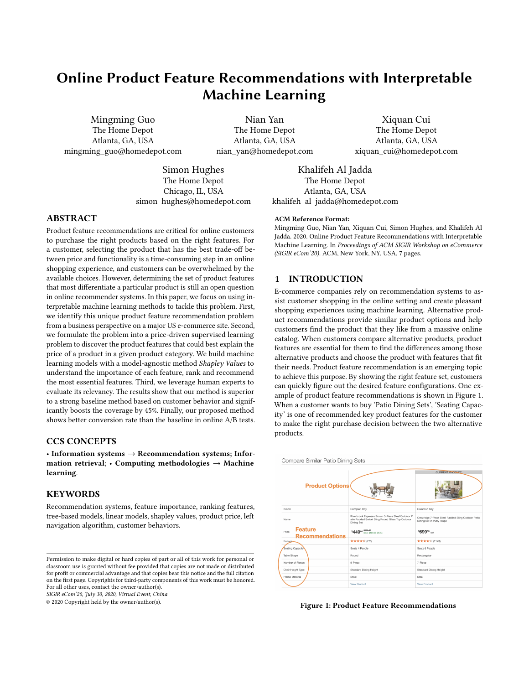# Online Product Feature Recommendations with Interpretable Machine Learning

Mingming Guo The Home Depot Atlanta, GA, USA mingming\_guo@homedepot.com

Nian Yan The Home Depot Atlanta, GA, USA nian\_yan@homedepot.com

Xiquan Cui The Home Depot Atlanta, GA, USA xiquan\_cui@homedepot.com

Simon Hughes The Home Depot Chicago, IL, USA simon\_hughes@homedepot.com

Khalifeh Al Jadda The Home Depot Atlanta, GA, USA khalifeh al jadda@homedepot.com

# ABSTRACT

Product feature recommendations are critical for online customers to purchase the right products based on the right features. For a customer, selecting the product that has the best trade-off between price and functionality is a time-consuming step in an online shopping experience, and customers can be overwhelmed by the available choices. However, determining the set of product features that most differentiate a particular product is still an open question in online recommender systems. In this paper, we focus on using interpretable machine learning methods to tackle this problem. First, we identify this unique product feature recommendation problem from a business perspective on a major US e-commerce site. Second, we formulate the problem into a price-driven supervised learning problem to discover the product features that could best explain the price of a product in a given product category. We build machine learning models with a model-agnostic method Shapley Values to understand the importance of each feature, rank and recommend the most essential features. Third, we leverage human experts to evaluate its relevancy. The results show that our method is superior to a strong baseline method based on customer behavior and significantly boosts the coverage by 45%. Finally, our proposed method shows better conversion rate than the baseline in online A/B tests.

# CCS CONCEPTS

• Information systems  $\rightarrow$  Recommendation systems; Information retrieval; • Computing methodologies  $\rightarrow$  Machine learning.

## **KEYWORDS**

Recommendation systems, feature importance, ranking features, tree-based models, linear models, shapley values, product price, left navigation algorithm, customer behaviors.

SIGIR eCom'20, July 30, 2020, Virtual Event, China

© 2020 Copyright held by the owner/author(s).

#### ACM Reference Format:

Mingming Guo, Nian Yan, Xiquan Cui, Simon Hughes, and Khalifeh Al Jadda. 2020. Online Product Feature Recommendations with Interpretable Machine Learning. In Proceedings of ACM SIGIR Workshop on eCommerce (SIGIR eCom'20). ACM, New York, NY, USA, [7](#page-6-0) pages.

## 1 INTRODUCTION

E-commerce companies rely on recommendation systems to assist customer shopping in the online setting and create pleasant shopping experiences using machine learning. Alternative product recommendations provide similar product options and help customers find the product that they like from a massive online catalog. When customers compare alternative products, product features are essential for them to find the differences among those alternative products and choose the product with features that fit their needs. Product feature recommendation is an emerging topic to achieve this purpose. By showing the right feature set, customers can quickly figure out the desired feature configurations. One example of product feature recommendations is shown in Figure [1.](#page-0-0) When a customer wants to buy 'Patio Dining Sets', 'Seating Capacity' is one of recommended key product features for the customer to make the right purchase decision between the two alternative products.

<span id="page-0-0"></span>

Figure 1: Product Feature Recommendations

Permission to make digital or hard copies of part or all of this work for personal or classroom use is granted without fee provided that copies are not made or distributed for profit or commercial advantage and that copies bear this notice and the full citation on the first page. Copyrights for third-party components of this work must be honored. For all other uses, contact the owner/author(s).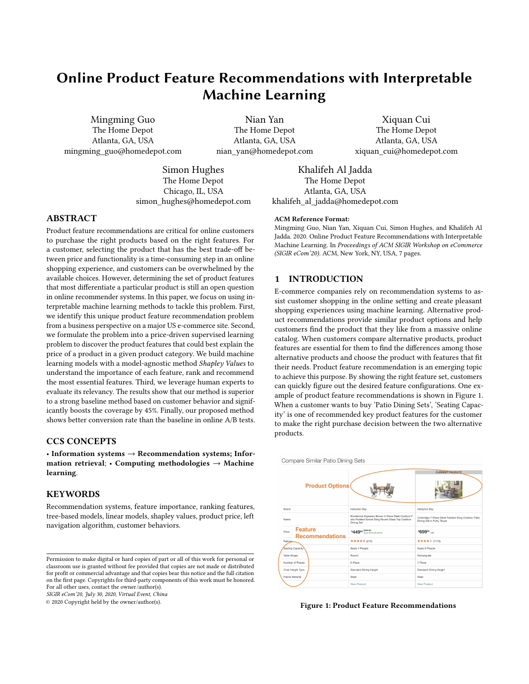However, from a major US e-commerce site, we found that the features shown for alternative products are not very helpful when customers are making purchase decisions. Thus, we need to understand the key differences between product features and what are the major factors that drive the difference between alternative products. The task of product feature recommendations is to recommend differential features considering those factors. From the literature, a lot of research has been focused on product recommendations such as alternative product recommendation [\[9,](#page-6-1) [14\]](#page-6-2), complementary product recommendation [\[3\]](#page-6-3), and/or next item recommendation [\[13\]](#page-6-4). Little work has focused on product feature recommendations. Feature recommendations help customers to interpret product recommendations by showing the key differences. Making product recommendations interpretable to customers is important to gain trust from customers, boost shopping confidence, and increase the purchase probability [\[16\]](#page-6-5).

In this paper, we propose an interpretable machine learning approach to generate feature recommendations that drive the major differences between alternative products. To be specific, we propose to use the product price as the training label and build machine learning models to learn the feature importance and impact (positive or negative) for a given product category. We then study the Shapley Values [\[5\]](#page-6-6) with visualization for interpreting the feature contributions to the product price from the models and obtaining the final feature recommendations. Our main contributions are as follows:

- Identify the unique product feature recommendation problem to help customers make better purchase decisions between alternative products by showing top ranking features.
- Formulate the problem into a price-driven supervised learning problem to derive the most important product features per category.
- Build interpretable machine learning models to understand the feature importance and whether features have a positive or negative impact on the product price.
- Utilize model-agnostic method Shapley Values to interpret the contribution of the features to the models' predictions based on rich data visualizations and finally rank the features per category.
- We leverage human experts to label the top features for sampled categories and evaluate the proposed method against a strong baseline named Left Navigation Algorithm that uses customer behaviors.
- Our proposed approach scores higher in the offline evaluation on metrics such as NDCG, precision, recall and coverage; it also outperforms the Left Navigation Algorithm in online A/B tests on conversion rate.

# 2 RELATED WORK

A lot of research has been conducted into online recommendation systems from both an academic and industrial setting [\[15\]](#page-6-7). Among this work, product recommendation systems attract more attention due to their wide usage in online services such as social media and e-commerce sites. However, product feature recommendation is an emerging topic in recommendation system research due to its specific settings in e-commerce.

## 2.1 Product and Feature Recommendations

For product recommendations, content-based recommendation is an approach for recommending products/items based on the content similarity, and collaborative filtering is another popular approach which leverages user behaviors instead of content to generate recommendations for specific users or products [\[6\]](#page-6-8). Deep learning is also being heavily applied for recommendation systems [\[15\]](#page-6-7). Despite the active research into recommendation systems in general, little work has been carried out into building product feature recommendation systems. This problem is essential to customers because it can help differentiate specific products from a set of similar products based on the recommended features. In the literature, recommendation of product features or attributes has been used for designing marketing campaign [\[12\]](#page-6-9).

## 2.2 Interpretable Machine Learning

Interpretable Machine Learning tries to explain why and how a machine learning model works to facilitate human understanding of the final model [\[10\]](#page-6-10). Thera are two major techniques in it: interpretable models and model-agnostic methods.

2.2.1 Interpretable Models. For interpretable models, Linear Regression [\[1\]](#page-6-11) is one of them that can clearly explain the linearity relationship between the features and the target variable. However, it fails in the situation where there is a nonlinear relation between features and targets or the features are correlated to each other. Decision Tree [\[2\]](#page-6-12) is another model with interpretability. It splits the data with certain cutoff values from the features to build the tree in an iterative way. Based on Decision Tree, there are many advanced tree-based models including LightGBM [\[4\]](#page-6-13) and CatBoost [\[11\]](#page-6-14).

2.2.2 Model-Agnostic Methods. Model-agnostic methods are methods that apply on top of machine learning models that helps humans understand. LIME [\[8\]](#page-6-15) is a model-agnostic method to explain the predictions in machine learning. However, this method focuses on machine learning classifier but not regression tasks. SHAP [\[7\]](#page-6-16) which stands for SHapley Additive exPlanations is a universal game theory method to interpret the feature importance for machine learning models in prediction tasks. It can obtain the Shapley Values for the features in the prediction process from the training data. There are also other model-agnostic methods including Feature Interaction, Permutation Feature Importance, etc [\[10\]](#page-6-10). Based on the model-agnostic capacity and rich visualization, we select SHAP as the tool to interpret machine learning models and understand the feature importance for our problem.

#### 3 MACHINE LEARNING APPROACH

In this section, we describe the characteristics of the dataset and how we process the raw data and extract features. We build regression models using Linear Regression, LightGBM and CatBoost to learn and understand the feature importance using product prices as labels. We also leverage Linear Regression to learn the feature directions. We further study Shapley Values to interpret the feature contributions from each model and compute the final feature ranking list by averaging the Shapley Values for each feature from all three regression models. We learn the feature importance to understand what features contribute more to the product's price,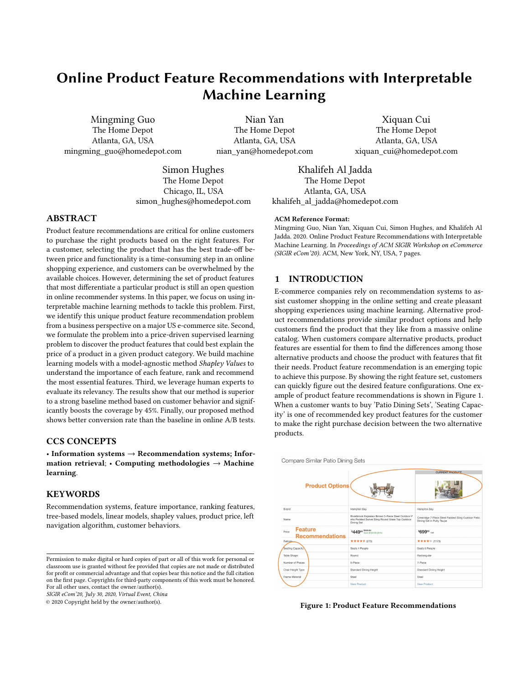Online Product Feature Recommendations with Interpretable Machine Learning SIGIR eCom'20, July 30, 2020, Virtual Event, China

and use the feature direction to understand if a feature positively or negatively contributes to the product price.

## 3.1 Datasets

In our catalog, there are millions of online products which are organized by categories. A category is defined as a classification for certain type of products. For example, 'hammer' is a specific category within which there are all hammers with different brands and prices. We focus on leaf node level category from the classification tree since the products in each leaf node category are similar products and sharing similar features. To develop the models, we do random sampling and select seven categories from our catalog. We need to accurately extract the most important features and their directions for each category. An example of the raw product attribute data for an online product in the 'Dehumidifiers' category is shown in Figure [2.](#page-2-0) We use feature and attribute interchangeable in this paper. For each category, the number of products is ranging from hundreds to tens of thousands. The number of features for each product in each category is ranging approximately from 5 to 30.

<span id="page-2-0"></span>

|                               | displayname attributevalue |  |  |
|-------------------------------|----------------------------|--|--|
| Package Size                  | Individual                 |  |  |
| Commercial/Residential<br>Use | Residential                |  |  |
| Product Weight (lb.)          | 51.8 lb                    |  |  |
| Product Width (in.)           | 16.8 in                    |  |  |
| Bucket capacity (pints)       | 13.3                       |  |  |

Figure 2: An example of raw product feature data

## 3.2 Data Pre-Processing

We process the data by converting the raw string data into different types of features. There are 3 types of features we need to extract in the raw data including numerical features, categorical features and textual features. The detailed processing methods for each type of feature are as follows:

- Numerical Features: from Figure [2,](#page-2-0) a feature like 'Product Weight(lb.)' has a unit 'lb' in the raw data, so we need explore the raw data to discover such patterns. We apply the patterns/rules with regular expressions to remove information such as unit and extract the numerical part of the features.
- Categorical Features: we also extract features like 'Commercial/Residential Use' with short string value 'Residential' as a categorical feature shown in Figure [2.](#page-2-0) We also find that there are raw features with long string information like some functional description. Based on the statistics, we choose maximum 10 different strings in a feature column as a categorical feature.

• Textual Features: from the process to extract categorical features, we find that there are some features with lots of different long string/textual values (e.g., describe the product usage information) which are not informative so we exclude those features. Those features are not very useful for customers to differentiate the products compared with numerical features like 'Bucket capacity (pints)' or categorical ones like 'Product Width (in.)'.

## 3.3 ML Algorithms

Linear Regression: Linear Regression is the first machine learning algorithm we use to understand the feature importance and feature direction due to its interpretability. The basic idea is that each feature is assigned a weight and the weight is updated in the training process to minimize the prediction error. We also focus on Linear Regression to learn the positive or negative sign of each feature, which means if the increase or decrease of a feature value will make the product price higher. Linear Regression can learn the impact direction of a feature by increasing or decreasing the weight for that feature while observing the changing direction of the target variable like price. When changing the weight for a feature, the weights of other features should be kept constant without changing. These weights are the feature importance. For each categorical feature, we sum the weights from the dummy features generated by onehot encoding from that feature to get a single score. The feature sign is important for explaining the price changing direction when comparing two products for a specific feature. This serves another business case in the Section 4.4.

LightGBM: LightGBM is a gradient boosting tree-based algorithm we choose because it performs well in many prediction tasks with faster training speed and better accuracy in general. This is the first tree model we use to learn and understand the feature importance. The way for LightGBM to learn the feature importance is by computing the average gain of the features when they are used to partition the data during the model training. We also need to convert categorical features into numerical format using one-hot encoding. Similarly, for each categorical feature, we sum the scores from the dummy features generated by one-hot encoding from that feature to get a single score. We use the model result from LightGBM as an input to the final feature ranking process.

CatBoost: CatBoost is another sophisticated tree-based algorithm that can better handle categorical features directly as a whole without the need to split them. This is the major reason we choose it. CatBoost supports textual features as well. The way for CatBoost to learn feature importance is also based the average gain of the features in the tree splitting process. Specifically, CatBoost learns the feature importance for categorical features by transforming them into numerical before each split is selected in the tree and using various statistics on the combinations of categorical and numerical features as well as combinations of categorical features in the process. We also use the model result from CatBoost as an input to the final feature ranking process.

## 3.4 Shapley Values

We mainly study the Shapley Values to better interpret the feature contributions for the machine learning models we have built and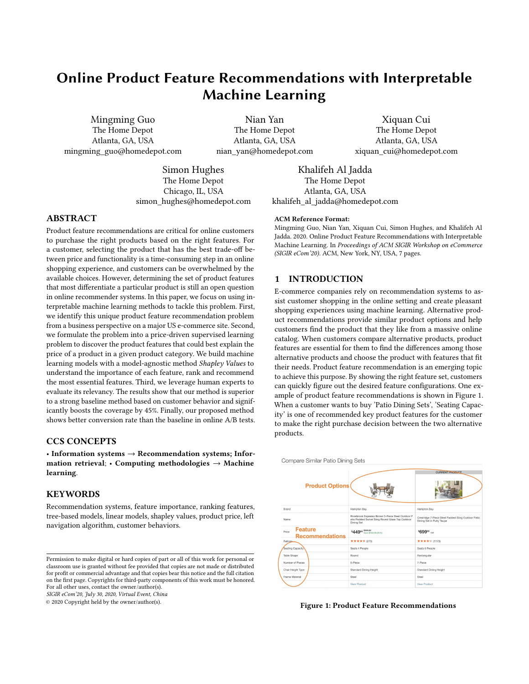obtain the final ranking features per category. The major advantage of Shapley Values is that it is an explanation method with a solid theory [\[10\]](#page-6-10). Shapley Values is a method developed in colitional game theory. In a prediction task, considering each feature value of an instance as a player and the payout as the prediction value, Shapley Values is about how the payout is distributed to the features or players in that prediction. Specifically, for a single feature/player from all training instances, its marginal contributions with all possible coalitions with other features/players can be calculated based on the differences between the predicted value for that instance with the mean of predicted values for all instances. The Shapley Values for that feature or player is the average marginal contribution [\[10\]](#page-6-10).

SHAP [\[7\]](#page-6-16) is the software tool we used to obtain the estimated Shapley Values with the name 'SHAP value' in the plots from the package. Due to its ability to explain the outputs, especially the visualization of relative contributions of each feature, we use it to examine and interpret each model we build. For example, for CatBoost, Figure [3](#page-3-0) shows the feature contributions to a single predication in the 'Drills' category based on Shapley Values of all features. We can see that the feature 'Product Weight (lb.)' contributes the most to the change of price for this instance from the average predicted price for all instances and 'Chuck Size' contributes the second most to the change of price. The base value is the average value of all predictions from all instances, and the output value is the prediction for a specific instance. From Figure [3,](#page-3-0) both 'Product Weight (lb.)' and 'Chuck Size' push the price lower, while the feature 'Product Width (in.) pushes the price higher to approach the base value. The feature contributions for the overall training data in the 'Drills' category is shown in Figure [4](#page-3-1) where 'Feature value' in y-axis stands for the overall Shapley Values for a specific feature. The mean of Shapley Values for each feature is shown in Figure [5.](#page-3-2) Indicated by the Shapley Values, 'Motor Type' is the second most significant feature which means it is strongly correlated to the target variable 'price'. From the two graphs, we can clearly understand how each feature contributes to the price in a quantitative way.

<span id="page-3-0"></span>

oduct Width (in.) = 12.75 Product Weight (lb.) = 4.7 Chuck Size = 3/8 In. Maximum Speed (RPM) = 1,500 Prod

#### Figure 3: Feature Contributions for a Single Record

Finally, we compute the average Shapley Values using all Shapley Values from above models for each feature and rank them accordingly to get the final feature ranking result for each category. We use the feature directions learned from the above linear model as the final feature signs. The solid theoretical foundation for Shapley Values to explain the feature contributions in prediction and our exploration based on rich visualization of SHAP guide us to design such a final ranking method.

## 4 EXPERIMENTS AND RESULTS

In this section, we describe a strong baseline algorithm named Left Navigation Algorithm that our proposed approach was compared with. In Section 3, we describe the process to calculate the final

<span id="page-3-1"></span>

Figure 4: Visualization of all Shapley Values of Training Data for Feature Ranking

<span id="page-3-2"></span>

Figure 5: Feature Ranking based on Mean of Shapley values for Training Data

feature ranking per category using machine learning models with Shapley Values. We name our approach Machine Learning Approach. We discuss the experimental setup and the metrics for the offline evaluation as well as for the online A/B tests. The detailed results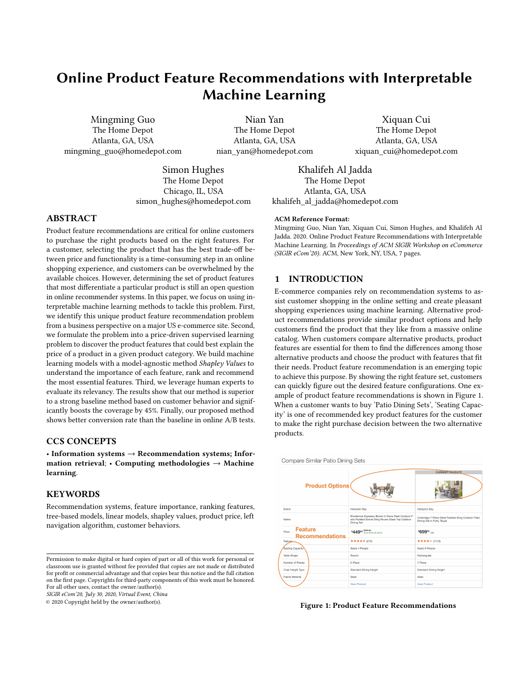Online Product Feature Recommendations with Interpretable Machine Learning Sample SIGIR eCom'20, July 30, 2020, Virtual Event, China

of the offline evaluation and the online A/B tests are also shown and discussed in this section. For offline evaluation, we do not find exact similar open datasets with detailed product attributes and prices so we just use our production data for evaluation.

#### 4.1 Baseline Algorithm

<span id="page-4-0"></span>The baseline algorithm is called Left Navigation Algorithm powered by customer click stream data. The left navigation features are listed on the left side of a product list page for a leaf node category to let customer select the suitable feature values. An example of the 'Refrigerator' category is shown in Figure [6.](#page-4-0)

| <b>Refrigerator Size</b>      |  |
|-------------------------------|--|
| Compact (22)                  |  |
| Standard (340)                |  |
| Total Capacity (cu. ft.)      |  |
| $13 - 16(5)$<br>Ιl            |  |
| $16 - 18(9)$<br>H             |  |
| $18 - 19(7)$<br>- 1           |  |
| $19 - 20(17)$<br>H            |  |
| $20 - 21(15)$                 |  |
| + See All                     |  |
| <b>Refrigerator Fit Width</b> |  |
| 27 Inch Wide (1)              |  |
| 28 Inch Wide (1)              |  |
| 30 Inch Wide (22)<br>- 1      |  |
| 31 Inch Wide (3)              |  |
|                               |  |
| 33 Inch Wide (48)             |  |

#### Figure 6: Left Navigation Features from Customer Behavior

The Left Navigation Algorithm is based on the customer engagement with left navigation feature frequencies. Certain categories tend to have rich left navigation interaction data and certain categories have none/little interaction data. The algorithm uses the engaged feature frequency from the left navigation to rank the feature importance. This method suffers from 1) the cold start problem: if there is little or no features on the left navigation, there is no way to obtain the engaged frequency; and 2) the error perpetuation problem which means customers will only get left navigation interactions for features that we show on the page and cannot get the engagement for the relevant features not shown in the left navigation for customers to begin with. Even this algorithm has drawbacks, it is still a strong baseline since it partially reflects the customer preference.

#### 4.2 Experiment Setup

There are many interesting categories in our product catalog. We randomly choose 7 categories to conduct the experiments including Drills, Bathroom Vanity with Tops, French Door Refrigerators, Ceiling Fans, Dehumidifiers, Built-in Dishwashers, Portable Generators. For each category, the baseline algorithm provides the key product features. Our proposed machine learning approach runs through the ML pipeline and generates the ranking features for each

category. We select a range of most important hyper-parameters for LightGBM and CatBoost. For Linear Regression, we use the default settings. For LightGBM, the main hyper-parameters include learning rate with 0.04, 0.05, 0.06, 0.09 and number of leaves with 25, 30, 35, 40. For CatBoost, the main hyper-parameters include learning rate with 0.10, 0.15, 0.20, 0.25 and depth with 3, 6, 9, 12. With grid search along with cross validation, ML algorithms in our pipeline produce their best validation scores with the optimal hyper-parameters. We use RMSE as the cross validation loss. Each category has its own optimal hyper-parameters from the settings.

## 4.3 Offline Evaluation

For the offline evaluation, we leverage our internal experts with domain knowledge to extract key product features for the specific categories we selected in the test. Based on their expertise, labels were created for each category which are a ranked list of important features. We evaluate Left Navigation Algorithm and our proposed Machine Learning Approach based on metrics such as NDCG, precision and recall for top 5 and top 10 features. We also evaluate both algorithms for the percentage of the categories that the algorithm can cover because we are interested in expanding the feature recommendations to all the possible categories and products. The performance is shown in Table [1.](#page-5-0)

• NDCG, Precision and Recall: From Table [1,](#page-5-0) our approach has better NDCG scores for 5 categories including 'Bathroom Vanities with Tops', 'Ceiling Fans', 'Dehumidifiers', 'Built-In Dishwashers' and 'Portable Generators'. For 'Drills', our approach has a close NDCG with the baseline. The baseline has a better NDCG for 'French Door Refrigerators' category. Our proposed approach has higher recall and precision in general for both the top 5 and top 10 features across the sampled categories. This is because the initial feature selection for the Left Navigation Algorithm is biased as it does not consider the price. On the other hand, our approach uses the product price as the label to train the models and let the machine learning models learn the most important features that drive the price difference. To be specific, for precision@5, the baseline works well and even better than our proposed approach. For example, 'Built-In Dishwashers' has better precision@5 score with the baseline than our approach. 'Built-In Dishwashers' and 'Portable Generators' both have better precision@10 scores with the baseline than our approach. The primary reason is because the important features are well understood for those categories with the baseline. However, most of the categories are not explored and well understood so our Machine Learning Approach has strong advantages. Even for other well known categories like 'Drills', our approach also shows competitive results. Generally speaking, for popular category such as 'French Door Refrigerators' and Drills', the baseline works well. If the category is not popular like 'Ceiling Fans' where there is no efficient way for baseline to know the important features, our ML approach can learn them from product price.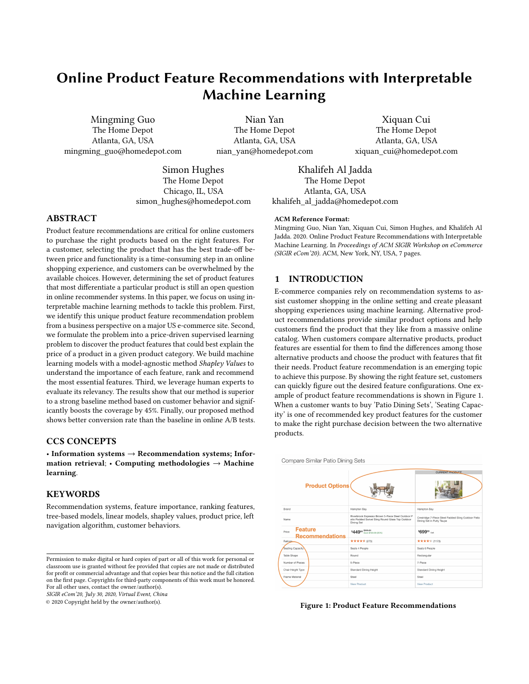| Category                         | Left Navigation Algorithm |             |              |          |           |  |
|----------------------------------|---------------------------|-------------|--------------|----------|-----------|--|
|                                  | <b>NDCG</b>               | Precision@5 | Precision@10 | Recall@5 | Recall@10 |  |
| Bathroom Vanities with Tops      | 0.65                      | 0.40        | 0.30         | 0.40     | 0.60      |  |
| Drills                           | 0.76                      | 0.40        | 0.30         | 0.40     | 0.43      |  |
| French Door Refrigerators        | 0.62                      | 0.25        | 0.10         | 0.25     | 0.25      |  |
| Ceiling Fans                     | 0.43                      | 0.20        | 0.10         | 0.10     | 0.20      |  |
| Dehumidifiers                    | 0.67                      | 0.40        | 0.30         | 0.40     | 0.43      |  |
| Built-In Dishwashers             | 0.53                      | 0.35        | 0.20         | 0.20     | 0.40      |  |
| Portable Generators              | 0.81                      | 0.40        | 0.25         | 0.20     | 0.40      |  |
| Category                         | Machine Learning Approach |             |              |          |           |  |
|                                  | <b>NDCG</b>               | Precision@5 | Precision@10 | Recall@5 | Recall@10 |  |
| Bathroom Vanities with Tops      | 0.72                      | 0.60        | 0.30         | 0.60     | 0.76      |  |
| Drills                           | 0.74                      | 0.40        | 0.40         | 0.60     | 0.71      |  |
| <b>French Door Refrigerators</b> | 0.54                      | 0.50        | 0.40         | 0.60     | 0.71      |  |
| Ceiling Fans                     | 0.89                      | 0.40        | 0.30         | 0.50     | 0.75      |  |
| Dehumidifiers                    | 0.78                      | 0.80        | 0.60         | 0.57     | 0.86      |  |
| <b>Built-In Dishwashers</b>      | 0.63                      | 0.20        | 0.15         | 0.37     | 0.46      |  |
|                                  |                           |             |              |          |           |  |

<span id="page-5-0"></span>Table 1: Performance of the Left Nav Algorithm Versus the Machine Learning Approach for Sampled Categories.

• Coverage: From our product catalog, we would like to cover more categories and products with our feature recommendations. Compared with the current Left Navigation Algorithm, our proposed Machine Learning Approach increases the category coverage by 45%. For the categories that do not have feature recommendations because of the cold start problem in the Left Navigation Algorithm without customer engagement, our Machine Learning Approach can provide the feature recommendations from scratch using product features and prices. This is very successful for our business to significantly expand the feature recommendations.

Due to the time and space limitation, we are not providing the validation scores for each raw feature rankings from the linear and tree models compared with the baseline, and the validation scores of the Shapley version of the feature ranking for each model. We have several insights to share here: 1) the feature ranking using Shapley Values generally works better than the original feature ranking for each model we have built; 2) for categorical features, their rankings from the models that directly handle those features are better than the rankings from the models using one-hot encoding to split them and later make the summation of the importance scores from the binary features.

# 4.4 Online A/B Tests

Two online A/B tests are launched to finally evaluate the effectiveness of our proposed machine learning approach compared with the baseline. We run the test on the sampled categories. Each test ran for three weeks to gather sufficient data from user traffic to determine whether the effect seen was statistically significant (or not). We use Conversion Rate as the primary metric for the evaluation. Conversion Rate is defined here as the number of purchases divided by number of visits. This is used to measure the relevancy of the

related algorithms. The rational to use Conversion Rate is because it captures the customer purchase behaviors given the control and test experiences. Higher Conversion Rate means that customers find the recommended features more useful to help them figure out the right products they need, and vice versa.

4.4.1 A/B Test for Product Feature Recommendation. This is the first use case on our e-commerce site which shows the most important features to differentiate the product candidates and better fit the customers' needs. Our Machine Learning Approach outperforms the Left Navigation Algorithm with a 2.1% higher conversion rate in a statistically significant way which will have a strong positive impact on our business given the large volume of sales.

4.4.2 A/B Test for Explainable Recommendation using Feature Message. This is the second use case on our e-commerce site which shows a message detailing the single most important feature impacting the price difference from amongst the alternative products when compared with an anchor product which is defined as the main product on that product information page. For example, customers see a message right below the product price stating 'Upgrade to 4 burners for \$130 more' or 'Spend \$300 more for 6 burners' when buying a grill. They then have a better understanding about how they can spend more money to get more sophisticated features or spend less money to get less sophisticated features. From the A/B test result, our Machine Learning Approach outperforms the baseline algorithm with a 3% higher conversion rate in a statistically significant way which also provides a significant lift for our business.

#### 4.5 Production Impact

Both offline evaluation and online A/B tests show promising results when using our Machine Learning Approach in place of the